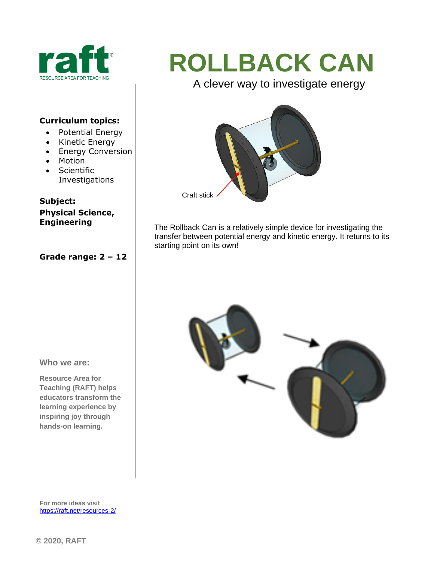

#### **Curriculum topics:**

- Potential Energy
- Kinetic Energy
- Energy Conversion
- Motion
- Scientific Investigations

### **Subject:**

**Physical Science, Engineering**

#### **Grade range: 2 – 12**

# **ROLLBACK CAN**

A clever way to investigate energy



The Rollback Can is a relatively simple device for investigating the transfer between potential energy and kinetic energy. It returns to its starting point on its own!



**Who we are:**

**Resource Area for Teaching (RAFT) helps educators transform the learning experience by inspiring joy through hands-on learning.** 

**For more ideas visit**  <https://raft.net/resources-2/>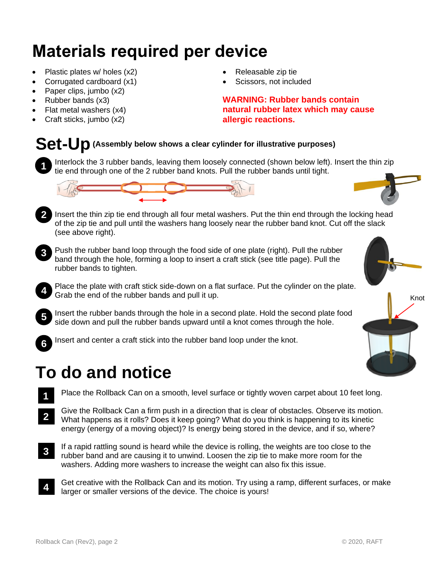## **Materials required per device**

- Plastic plates w/ holes (x2)
- Corrugated cardboard (x1)
- Paper clips, jumbo (x2)
- Rubber bands (x3)
- Flat metal washers (x4)
- Craft sticks, jumbo (x2)
- Releasable zip tie
- Scissors, not included

**WARNING: Rubber bands contain natural rubber latex which may cause allergic reactions.**

### **Set-Up(Assembly below shows a clear cylinder for illustrative purposes)**

Interlock the 3 rubber bands, leaving them loosely connected (shown below left). Insert the thin zip tie end through one of the 2 rubber band knots. Pull the rubber bands until tight. **1**



- 2 Insert the thin zip tie end through all four metal washers. Put the thin end through the locking head of the zip tie and pull until the washers hang loosely near the rubber band knot. Cut off the slack (see above right).
- **3**

**4**

**5**

Push the rubber band loop through the food side of one plate (right). Pull the rubber band through the hole, forming a loop to insert a craft stick (see title page). Pull the rubber bands to tighten.

Place the plate with craft stick side-down on a flat surface. Put the cylinder on the plate. Grab the end of the rubber bands and pull it up.

Insert the rubber bands through the hole in a second plate. Hold the second plate food side down and pull the rubber bands upward until a knot comes through the hole.

**6**

**1**

Insert and center a craft stick into the rubber band loop under the knot.

# **To do and notice**

- Place the Rollback Can on a smooth, level surface or tightly woven carpet about 10 feet long.
- Give the Rollback Can a firm push in a direction that is clear of obstacles. Observe its motion. What happens as it rolls? Does it keep going? What do you think is happening to its kinetic energy (energy of a moving object)? Is energy being stored in the device, and if so, where? **2**
- If a rapid rattling sound is heard while the device is rolling, the weights are too close to the rubber band and are causing it to unwind. Loosen the zip tie to make more room for the washers. Adding more washers to increase the weight can also fix this issue. **3**
- Get creative with the Rollback Can and its motion. Try using a ramp, different surfaces, or make larger or smaller versions of the device. The choice is yours! **4**